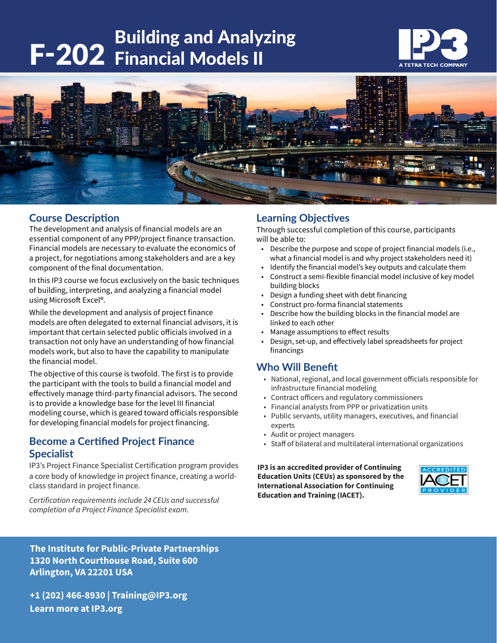# **F-202** Building and Analyzing<br>F-202 Financial Models II





## **Course Description**

The development and analysis of financial models are an essential component of any PPP/project finance transaction. Financial models are necessary to evaluate the economics of a project, for negotiations among stakeholders and are a key component of the final documentation.

In this IP3 course we focus exclusively on the basic techniques of building, interpreting, and analyzing a financial model using Microsoft Excel®.

While the development and analysis of project finance models are often delegated to external financial advisors, it is important that certain selected public officials involved in a transaction not only have an understanding of how financial models work, but also to have the capability to manipulate the financial model.

The objective of this course is twofold. The first is to provide the participant with the tools to build a financial model and effectively manage third-party financial advisors. The second is to provide a knowledge base for the level III financial modeling course, which is geared toward officials responsible for developing financial models for project financing.

## **Become a Certified Project Finance Specialist**

IP3's Project Finance Specialist Certification program provides a core body of knowledge in project finance, creating a worldclass standard in project finance.

*Certification requirements include 24 CEUs and successful completion of a Project Finance Specialist exam.* 

## **Learning Objectives**

Through successful completion of this course, participants will be able to:

- Describe the purpose and scope of project financial models (i.e., what a financial model is and why project stakeholders need it)
- Identify the financial model's key outputs and calculate them
- Construct a semi-flexible financial model inclusive of key model building blocks
- Design a funding sheet with debt financing
- Construct pro-forma financial statements
- Describe how the building blocks in the financial model are linked to each other
- Manage assumptions to effect results
- Design, set-up, and effectively label spreadsheets for project financings

## **Who Will Benefit**

- National, regional, and local government officials responsible for infrastructure financial modeling
- Contract officers and regulatory commissioners
- Financial analysts from PPP or privatization units
- Public servants, utility managers, executives, and financial experts
- Audit or project managers
- Staff of bilateral and multilateral international organizations

**IP3 is an accredited provider of Continuing Education Units (CEUs) as sponsored by the International Association for Continuing Education and Training (IACET).**



**The Institute for Public-Private Partnerships 1320 North Courthouse Road, Suite 600 Arlington, VA 22201 USA**

**+1 (202) 466-8930 | Training@IP3.org Learn more at IP3.org**